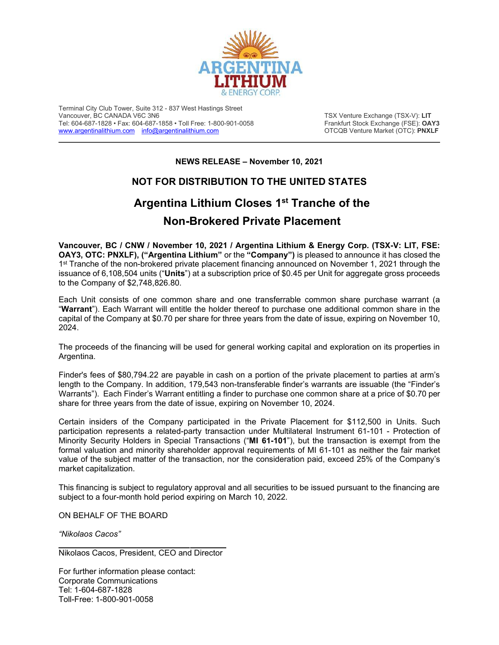

Terminal City Club Tower, Suite 312 - 837 West Hastings Street Tel: 604-687-1828 • Fax: 604-687-1858 • Toll Free: 1-800-901-0058 Frankfurt Stock Exchange (FSE): **OAY3**<br>Www.argentinalithium.com info@argentinalithium.com expansion of the CTCQB Venture Market (OTC): PNXLF [www.argentinalithium.com](http://www.argentinalithium.com/) [info@argentinalithium.com](mailto:info@argentinalithium.com)

**TSX Venture Exchange (TSX-V): LIT**<br>Frankfurt Stock Exchange (FSE): **OAY3** 

**NEWS RELEASE – November 10, 2021**

## **NOT FOR DISTRIBUTION TO THE UNITED STATES**

## **Argentina Lithium Closes 1st Tranche of the Non-Brokered Private Placement**

**Vancouver, BC / CNW / November 10, 2021 / Argentina Lithium & Energy Corp. (TSX-V: LIT, FSE: OAY3, OTC: PNXLF), ("Argentina Lithium"** or the **"Company")** is pleased to announce it has closed the 1st Tranche of the non-brokered private placement financing announced on November 1, 2021 through the issuance of 6,108,504 units ("**Units**") at a subscription price of \$0.45 per Unit for aggregate gross proceeds to the Company of \$2,748,826.80.

Each Unit consists of one common share and one transferrable common share purchase warrant (a "**Warrant**"). Each Warrant will entitle the holder thereof to purchase one additional common share in the capital of the Company at \$0.70 per share for three years from the date of issue, expiring on November 10, 2024.

The proceeds of the financing will be used for general working capital and exploration on its properties in Argentina.

Finder's fees of \$80,794.22 are payable in cash on a portion of the private placement to parties at arm's length to the Company. In addition, 179,543 non-transferable finder's warrants are issuable (the "Finder's Warrants"). Each Finder's Warrant entitling a finder to purchase one common share at a price of \$0.70 per share for three years from the date of issue, expiring on November 10, 2024.

Certain insiders of the Company participated in the Private Placement for \$112,500 in Units. Such participation represents a related-party transaction under Multilateral Instrument 61-101 - Protection of Minority Security Holders in Special Transactions ("**MI 61-101**"), but the transaction is exempt from the formal valuation and minority shareholder approval requirements of MI 61-101 as neither the fair market value of the subject matter of the transaction, nor the consideration paid, exceed 25% of the Company's market capitalization.

This financing is subject to regulatory approval and all securities to be issued pursuant to the financing are subject to a four-month hold period expiring on March 10, 2022.

ON BEHALF OF THE BOARD

*"Nikolaos Cacos"*

Nikolaos Cacos, President, CEO and Director

For further information please contact: Corporate Communications Tel: 1-604-687-1828 Toll-Free: 1-800-901-0058